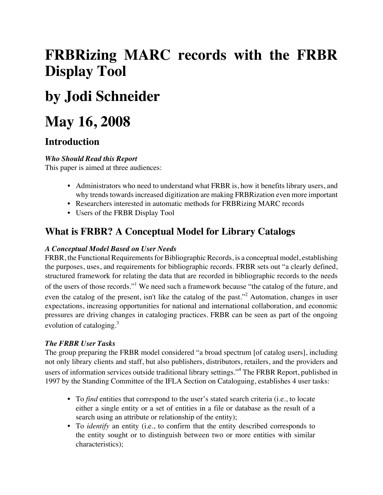# **FRBRizing MARC records with the FRBR Display Tool**

# **by Jodi Schneider**

# **May 16, 2008**

# **Introduction**

# *Who Should Read this Report*

This paper is aimed at three audiences:

- Administrators who need to understand what FRBR is, how it benefits library users, and why trends towards increased digitization are making FRBRization even more important
- Researchers interested in automatic methods for FRBRizing MARC records
- Users of the FRBR Display Tool

# **What is FRBR? A Conceptual Model for Library Catalogs**

### *A Conceptual Model Based on User Needs*

FRBR, the Functional Requirements for Bibliographic Records, is a conceptual model, establishing the purposes, uses, and requirements for bibliographic records. FRBR sets out "a clearly defined, structured framework for relating the data that are recorded in bibliographic records to the needs of the users of those records."<sup>1</sup> We need such a framework because "the catalog of the future, and even the catalog of the present, isn't like the catalog of the past."<sup>2</sup> Automation, changes in user expectations, increasing opportunities for national and international collaboration, and economic pressures are driving changes in cataloging practices. FRBR can be seen as part of the ongoing evolution of cataloging. $3$ 

# *The FRBR User Tasks*

The group preparing the FRBR model considered "a broad spectrum [of catalog users], including not only library clients and staff, but also publishers, distributors, retailers, and the providers and users of information services outside traditional library settings."<sup>4</sup> The FRBR Report, published in 1997 by the Standing Committee of the IFLA Section on Cataloguing, establishes 4 user tasks:

- To *find* entities that correspond to the user's stated search criteria (i.e., to locate either a single entity or a set of entities in a file or database as the result of a search using an attribute or relationship of the entity);
- To *identify* an entity (i.e., to confirm that the entity described corresponds to the entity sought or to distinguish between two or more entities with similar characteristics);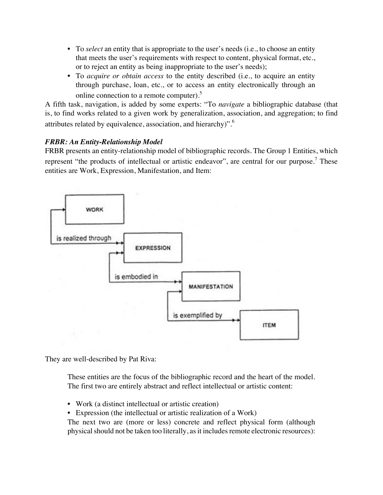- To *select* an entity that is appropriate to the user's needs (i.e., to choose an entity that meets the user's requirements with respect to content, physical format, etc., or to reject an entity as being inappropriate to the user's needs);
- To *acquire or obtain access* to the entity described (i.e., to acquire an entity through purchase, loan, etc., or to access an entity electronically through an online connection to a remote computer).5

A fifth task, navigation, is added by some experts: "To *navigate* a bibliographic database (that is, to find works related to a given work by generalization, association, and aggregation; to find attributes related by equivalence, association, and hierarchy)".6

# *FRBR: An Entity-Relationship Model*

FRBR presents an entity-relationship model of bibliographic records. The Group 1 Entities, which represent "the products of intellectual or artistic endeavor", are central for our purpose.<sup>7</sup> These entities are Work, Expression, Manifestation, and Item:



They are well-described by Pat Riva:

These entities are the focus of the bibliographic record and the heart of the model. The first two are entirely abstract and reflect intellectual or artistic content:

- Work (a distinct intellectual or artistic creation)
- Expression (the intellectual or artistic realization of a Work)

The next two are (more or less) concrete and reflect physical form (although physical should not be taken too literally, as it includes remote electronic resources):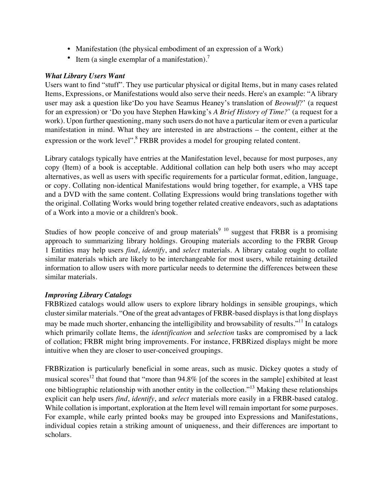- Manifestation (the physical embodiment of an expression of a Work)
- Item (a single exemplar of a manifestation).<sup>7</sup>

#### *What Library Users Want*

Users want to find "stuff". They use particular physical or digital Items, but in many cases related Items, Expressions, or Manifestations would also serve their needs. Here's an example: "A library user may ask a question like'Do you have Seamus Heaney's translation of *Beowulf?*' (a request for an expression) or 'Do you have Stephen Hawking's *A Brief History of Time?*' (a request for a work). Upon further questioning, many such users do not have a particular item or even a particular manifestation in mind. What they are interested in are abstractions – the content, either at the expression or the work level".<sup>8</sup> FRBR provides a model for grouping related content.

Library catalogs typically have entries at the Manifestation level, because for most purposes, any copy (Item) of a book is acceptable. Additional collation can help both users who may accept alternatives, as well as users with specific requirements for a particular format, edition, language, or copy. Collating non-identical Manifestations would bring together, for example, a VHS tape and a DVD with the same content. Collating Expressions would bring translations together with the original. Collating Works would bring together related creative endeavors, such as adaptations of a Work into a movie or a children's book.

Studies of how people conceive of and group materials<sup>9 10</sup> suggest that FRBR is a promising approach to summarizing library holdings. Grouping materials according to the FRBR Group 1 Entities may help users *find*, *identify*, and *select* materials. A library catalog ought to collate similar materials which are likely to be interchangeable for most users, while retaining detailed information to allow users with more particular needs to determine the differences between these similar materials.

#### *Improving Library Catalogs*

FRBRized catalogs would allow users to explore library holdings in sensible groupings, which cluster similar materials. "One of the great advantages of FRBR-based displays is that long displays may be made much shorter, enhancing the intelligibility and browsability of results."<sup>11</sup> In catalogs which primarily collate Items, the *identification* and *selection* tasks are compromised by a lack of collation; FRBR might bring improvements. For instance, FRBRized displays might be more intuitive when they are closer to user-conceived groupings.

FRBRization is particularly beneficial in some areas, such as music. Dickey quotes a study of musical scores<sup>12</sup> that found that "more than  $94.8\%$  [of the scores in the sample] exhibited at least one bibliographic relationship with another entity in the collection."13 Making these relationships explicit can help users *find*, *identify*, and *select* materials more easily in a FRBR-based catalog. While collation is important, exploration at the Item level will remain important for some purposes. For example, while early printed books may be grouped into Expressions and Manifestations, individual copies retain a striking amount of uniqueness, and their differences are important to scholars.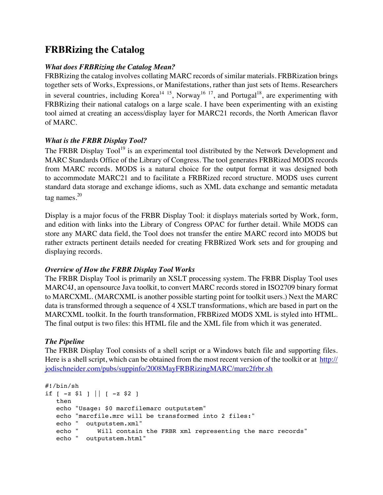# **FRBRizing the Catalog**

#### *What does FRBRizing the Catalog Mean?*

FRBRizing the catalog involves collating MARC records of similar materials. FRBRization brings together sets of Works, Expressions, or Manifestations, rather than just sets of Items. Researchers in several countries, including Korea<sup>14 15</sup>, Norway<sup>16 17</sup>, and Portugal<sup>18</sup>, are experimenting with FRBRizing their national catalogs on a large scale. I have been experimenting with an existing tool aimed at creating an access/display layer for MARC21 records, the North American flavor of MARC.

# *What is the FRBR Display Tool?*

The FRBR Display Tool<sup>19</sup> is an experimental tool distributed by the Network Development and MARC Standards Office of the Library of Congress. The tool generates FRBRized MODS records from MARC records. MODS is a natural choice for the output format it was designed both to accommodate MARC21 and to facilitate a FRBRized record structure. MODS uses current standard data storage and exchange idioms, such as XML data exchange and semantic metadata tag names. $20$ 

Display is a major focus of the FRBR Display Tool: it displays materials sorted by Work, form, and edition with links into the Library of Congress OPAC for further detail. While MODS can store any MARC data field, the Tool does not transfer the entire MARC record into MODS but rather extracts pertinent details needed for creating FRBRized Work sets and for grouping and displaying records.

#### *Overview of How the FRBR Display Tool Works*

The FRBR Display Tool is primarily an XSLT processing system. The FRBR Display Tool uses MARC4J, an opensource Java toolkit, to convert MARC records stored in ISO2709 binary format to MARCXML. (MARCXML is another possible starting point for toolkit users.) Next the MARC data is transformed through a sequence of 4 XSLT transformations, which are based in part on the MARCXML toolkit. In the fourth transformation, FRBRized MODS XML is styled into HTML. The final output is two files: this HTML file and the XML file from which it was generated.

# *The Pipeline*

The FRBR Display Tool consists of a shell script or a Windows batch file and supporting files. Here is a shell script, which can be obtained from the most recent version of the toolkit or at [http://](http://jodischneider.com/pubs/suppinfo/2008MayFRBRizingMARC/marc2frbr.sh) [jodischneider.com/pubs/suppinfo/2008MayFRBRizingMARC/marc2frbr.sh](http://jodischneider.com/pubs/suppinfo/2008MayFRBRizingMARC/marc2frbr.sh)

```
#!/bin/sh
if [-z \; \$1] || [-z \; \$2] then
    echo "Usage: $0 marcfilemarc outputstem"
    echo "marcfile.mrc will be transformed into 2 files:"
    echo " outputstem.xml"
    echo " Will contain the FRBR xml representing the marc records"
    echo " outputstem.html"
```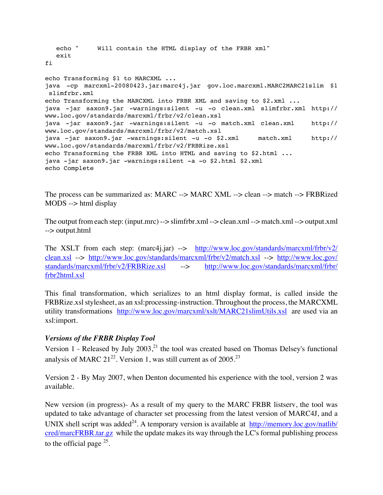```
 echo " Will contain the HTML display of the FRBR xml"
   exit
fi
echo Transforming $1 to MARCXML ...
java -cp marcxml-20080423.jar:marc4j.jar gov.loc.marcxml.MARC2MARC21slim $1
 slimfrbr.xml
echo Transforming the MARCXML into FRBR XML and saving to $2.xml ...
java -jar saxon9.jar -warnings:silent -u -o clean.xml slimfrbr.xml http://
www.loc.gov/standards/marcxml/frbr/v2/clean.xsl
java -jar saxon9.jar -warnings:silent -u -o match.xml clean.xml http://
www.loc.gov/standards/marcxml/frbr/v2/match.xsl
java -jar saxon9.jar -warnings:silent -u -o $2.xml match.xml http://
www.loc.gov/standards/marcxml/frbr/v2/FRBRize.xsl
echo Transforming the FRBR XML into HTML and saving to $2.html ...
java -jar saxon9.jar -warnings:silent -a -o $2.html $2.xml
echo Complete
```
The process can be summarized as: MARC --> MARC XML --> clean --> match --> FRBRized MODS --> html display

The output from each step: (input.mrc) --> slimfrbr.xml --> clean.xml --> match.xml --> output.xml --> output.html

The XSLT from each step: (marc4j.jar) --> [http://www.loc.gov/standards/marcxml/frbr/v2/](http://www.loc.gov/standards/marcxml/frbr/v2/clean.xsl) [clean.xsl](http://www.loc.gov/standards/marcxml/frbr/v2/clean.xsl) --> <http://www.loc.gov/standards/marcxml/frbr/v2/match.xsl> --> [http://www.loc.gov/](http://www.loc.gov/standards/marcxml/frbr/v2/FRBRize.xsl) [standards/marcxml/frbr/v2/FRBRize.xsl](http://www.loc.gov/standards/marcxml/frbr/v2/FRBRize.xsl) --> [http://www.loc.gov/standards/marcxml/frbr/](http://www.loc.gov/standards/marcxml/frbr/frbr2html.xsl) [frbr2html.xsl](http://www.loc.gov/standards/marcxml/frbr/frbr2html.xsl)

This final transformation, which serializes to an html display format, is called inside the FRBRize.xsl stylesheet, as an xsl:processing-instruction. Throughout the process, the MARCXML utility transformations <http://www.loc.gov/marcxml/xslt/MARC21slimUtils.xsl> are used via an xsl:import.

#### *Versions of the FRBR Display Tool*

Version 1 - Released by July  $2003$ ,<sup>21</sup>, the tool was created based on Thomas Delsey's functional analysis of MARC  $21^{22}$ . Version 1, was still current as of 2005.<sup>23</sup>

Version 2 - By May 2007, when Denton documented his experience with the tool, version 2 was available.

New version (in progress)- As a result of my query to the MARC FRBR listserv, the tool was updated to take advantage of character set processing from the latest version of MARC4J, and a UNIX shell script was added<sup>24</sup>. A temporary version is available at [http://memory.loc.gov/natlib/](http://memory.loc.gov/natlib/cred/marcFRBR.tar.gz) [cred/marcFRBR.tar.gz](http://memory.loc.gov/natlib/cred/marcFRBR.tar.gz) while the update makes its way through the LC's formal publishing process to the official page  $^{25}$ .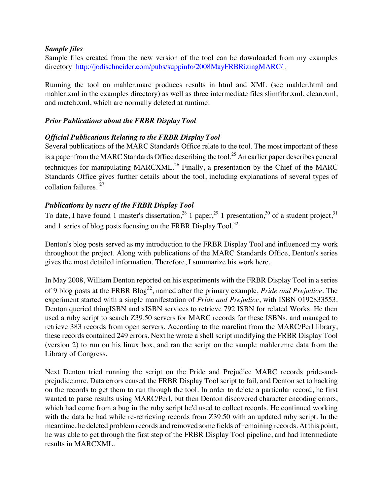#### *Sample files*

Sample files created from the new version of the tool can be downloaded from my examples directory <http://jodischneider.com/pubs/suppinfo/2008MayFRBRizingMARC/> .

Running the tool on mahler.marc produces results in html and XML (see mahler.html and mahler.xml in the examples directory) as well as three intermediate files slimfrbr.xml, clean.xml, and match.xml, which are normally deleted at runtime.

#### *Prior Publications about the FRBR Display Tool*

#### *Official Publications Relating to the FRBR Display Tool*

Several publications of the MARC Standards Office relate to the tool. The most important of these is a paper from the MARC Standards Office describing the tool.<sup>25</sup> An earlier paper describes general techniques for manipulating MARCXML.<sup>26</sup> Finally, a presentation by the Chief of the MARC Standards Office gives further details about the tool, including explanations of several types of collation failures. 27

#### *Publications by users of the FRBR Display Tool*

To date, I have found 1 master's dissertation,  $^{28}$  1 paper,  $^{29}$  1 presentation,  $^{30}$  of a student project,  $^{31}$ and 1 series of blog posts focusing on the FRBR Display Tool.<sup>32</sup>

Denton's blog posts served as my introduction to the FRBR Display Tool and influenced my work throughout the project. Along with publications of the MARC Standards Office, Denton's series gives the most detailed information. Therefore, I summarize his work here.

In May 2008, William Denton reported on his experiments with the FRBR Display Tool in a series of 9 blog posts at the FRBR Blog32, named after the primary example, *Pride and Prejudice*. The experiment started with a single manifestation of *Pride and Prejudice*, with ISBN 0192833553. Denton queried thingISBN and xISBN services to retrieve 792 ISBN for related Works. He then used a ruby script to search Z39.50 servers for MARC records for these ISBNs, and managed to retrieve 383 records from open servers. According to the marclint from the MARC/Perl library, these records contained 249 errors. Next he wrote a shell script modifying the FRBR Display Tool (version 2) to run on his linux box, and ran the script on the sample mahler.mrc data from the Library of Congress.

Next Denton tried running the script on the Pride and Prejudice MARC records pride-andprejudice.mrc. Data errors caused the FRBR Display Tool script to fail, and Denton set to hacking on the records to get them to run through the tool. In order to delete a particular record, he first wanted to parse results using MARC/Perl, but then Denton discovered character encoding errors, which had come from a bug in the ruby script he'd used to collect records. He continued working with the data he had while re-retrieving records from Z39.50 with an updated ruby script. In the meantime, he deleted problem records and removed some fields of remaining records. At this point, he was able to get through the first step of the FRBR Display Tool pipeline, and had intermediate results in MARCXML.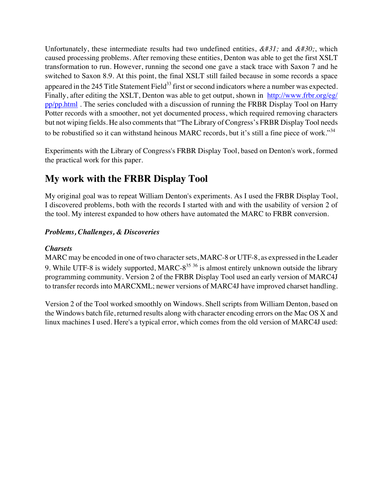Unfortunately, these intermediate results had two undefined entities,  $\&\#31$ ; and  $\&\#30$ ; which caused processing problems. After removing these entities, Denton was able to get the first XSLT transformation to run. However, running the second one gave a stack trace with Saxon 7 and he switched to Saxon 8.9. At this point, the final XSLT still failed because in some records a space appeared in the 245 Title Statement Field<sup>33</sup> first or second indicators where a number was expected. Finally, after editing the XSLT, Denton was able to get output, shown in [http://www.frbr.org/eg/](http://www.frbr.org/eg/pp/pp.html) [pp/pp.html](http://www.frbr.org/eg/pp/pp.html) . The series concluded with a discussion of running the FRBR Display Tool on Harry Potter records with a smoother, not yet documented process, which required removing characters but not wiping fields. He also comments that "The Library of Congress's FRBR Display Tool needs to be robustified so it can withstand heinous MARC records, but it's still a fine piece of work."<sup>34</sup>

Experiments with the Library of Congress's FRBR Display Tool, based on Denton's work, formed the practical work for this paper.

# **My work with the FRBR Display Tool**

My original goal was to repeat William Denton's experiments. As I used the FRBR Display Tool, I discovered problems, both with the records I started with and with the usability of version 2 of the tool. My interest expanded to how others have automated the MARC to FRBR conversion.

# *Problems, Challenges, & Discoveries*

#### *Charsets*

MARC may be encoded in one of two character sets, MARC-8 or UTF-8, as expressed in the Leader 9. While UTF-8 is widely supported, MARC- $8^{35}$  36 is almost entirely unknown outside the library programming community. Version 2 of the FRBR Display Tool used an early version of MARC4J to transfer records into MARCXML; newer versions of MARC4J have improved charset handling.

Version 2 of the Tool worked smoothly on Windows. Shell scripts from William Denton, based on the Windows batch file, returned results along with character encoding errors on the Mac OS X and linux machines I used. Here's a typical error, which comes from the old version of MARC4J used: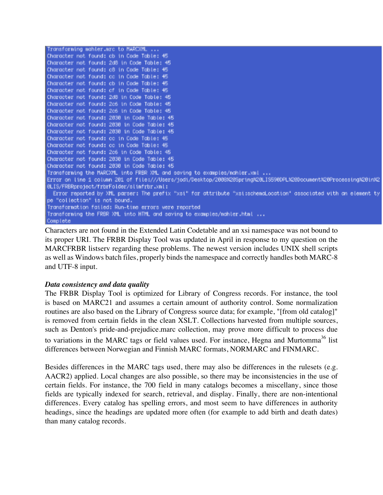```
Transforming mahler.mrc to MARCXML ...
Character not found: cb in Code Table: 45
Character not found: 2d8 in Code Table: 45
Character not found: c8 in Code Table: 45
Character not found: cc in Code Table: 45
Character not found: cb in Code Table: 45
Character not found: cf in Code Table: 45
Character not found: 2d8 in Code Table: 45
Character not found: 2c6 in Code Table: 45
Character not found: 2c6 in Code Table: 45
Character not found: 2030 in Code Table: 45
Character not found: 2030 in Cade Table: 45
Character not found: 2030 in Code Table: 45
Character not found: cc in Code Table: 45
Character not found: cc in Code Table: 45
Character not found: 2c6 in Code Table: 45
Character not found: 2030 in Code Table: 45
Character not found: 2030 in Cade Table: 45
Transforming the MARCXML into FRBR XML and saving to examples/nahler.xml ...
Error on line 1 column 201 of file:///Users/jodi/Desktop/2008X20SpringX20LIS590DPLX20DocumentX20ProcessingX20inX2
@LIS/FRBRproject/frbrFolder/slinfrbr.xnl:
  Error reported by XML parser: The prefix "xsi" for attribute "xsi:schenaLocation" associated with an element ty
pe "collection" is not bound.
Transformation failed: Run-time errors were reported
Transforming the FRBR XML into HTML and saving to examples/mahler.html ...
Complete
```
Characters are not found in the Extended Latin Codetable and an xsi namespace was not bound to its proper URI. The FRBR Display Tool was updated in April in response to my question on the MARCFRBR listserv regarding these problems. The newest version includes UNIX shell scripts as well as Windows batch files, properly binds the namespace and correctly handles both MARC-8 and UTF-8 input.

#### *Data consistency and data quality*

The FRBR Display Tool is optimized for Library of Congress records. For instance, the tool is based on MARC21 and assumes a certain amount of authority control. Some normalization routines are also based on the Library of Congress source data; for example, "[from old catalog]" is removed from certain fields in the clean XSLT. Collections harvested from multiple sources, such as Denton's pride-and-prejudice.marc collection, may prove more difficult to process due to variations in the MARC tags or field values used. For instance, Hegna and Murtomma<sup>36</sup> list differences between Norwegian and Finnish MARC formats, NORMARC and FINMARC.

Besides differences in the MARC tags used, there may also be differences in the rulesets (e.g. AACR2) applied. Local changes are also possible, so there may be inconsistencies in the use of certain fields. For instance, the 700 field in many catalogs becomes a miscellany, since those fields are typically indexed for search, retrieval, and display. Finally, there are non-intentional differences. Every catalog has spelling errors, and most seem to have differences in authority headings, since the headings are updated more often (for example to add birth and death dates) than many catalog records.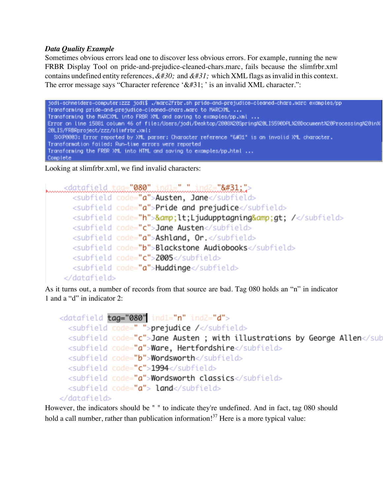#### *Data Quality Example*

Sometimes obvious errors lead one to discover less obvious errors. For example, running the new FRBR Display Tool on pride-and-prejudice-cleaned-chars.marc, fails because the slimfrbr.xml contains undefined entity references,  $&\#30$ ; and  $&\#31$ ; which XML flags as invalid in this context. The error message says "Character reference ' $&\#31$ ; is an invalid XML character.":

jodi-schneiders-computer:zzz jodi\$ ./narc2rrbr.sh pride-and-prejudice-cleaned-chars.marc examples/pp Transforming pride-and-prejudice-cleaned-chars.narc to MARCXML ... Transforning the NARCXML into FRBR XML and saving to examples/pp.xnl ... Error on line 15881 column 46 of file:/Users/jodi/Desktop/2008028Spring020LIS590DPLX20Document020Processing020in% 20LIS/FRBRproject/zzz/slimfrbr.xml: SXXP8883: Error reported by XML parser: Character reference "&#31" is an invalid XML character. Transformation failed: Run-time errors were reported Transforming the FRBR XML into HTML and saving to examples/pp.html ... Complete

Looking at slimfrbr.xml, we find invalid characters:

```
<subfield code="a">Austen, Jane</subfield>
   <subfield code="a">Pride and prejudice</subfield>
   <subfield code="h">&amp;lt;Ljudupptagning&amp;gt; /</subfield>
   <subfield code="c">Jane Austen</subfield>
   <subfield code="a">Ashland, Or.</subfield>
   <subfield code="b">Blackstone Audiobooks</subfield>
   <subfield code="c">2005</subfield>
   <subfield code="a">Huddinge</subfield>
 </datafield>
```
As it turns out, a number of records from that source are bad. Tag 080 holds an "n" in indicator 1 and a "d" in indicator 2:

```
<datafield tag="080" ind1="n" ind2="d">
  <subfield code=" ">prejudice /</subfield>
  <subfield code="c">Jane Austen ; with illustrations by George Allen</sub
  <subfield code="a">Ware, Hertfordshire</subfield>
  <subfield code="b">Wordsworth</subfield>
  <subfield code="c">1994</subfield>
  <subfield code="a">Wordsworth classics</subfield>
  <subfield code="a"> land</subfield>
</datafield>
```
However, the indicators should be " " to indicate they're undefined. And in fact, tag 080 should hold a call number, rather than publication information!<sup>37</sup> Here is a more typical value: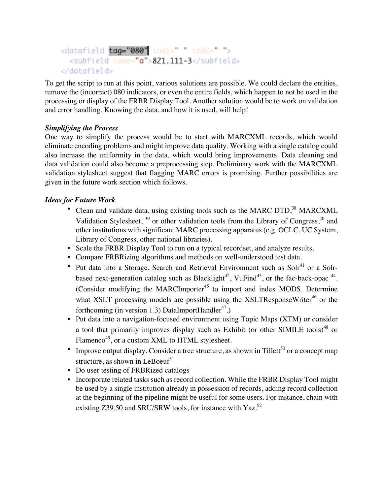```
<datafield tag="080" ind1=" " ind2=" ">
  <subfield code="a">821.111-3</subfield>
</datafield>
```
To get the script to run at this point, various solutions are possible. We could declare the entities, remove the (incorrect) 080 indicators, or even the entire fields, which happen to not be used in the processing or display of the FRBR Display Tool. Another solution would be to work on validation and error handling. Knowing the data, and how it is used, will help!

# *Simplifying the Process*

One way to simplify the process would be to start with MARCXML records, which would eliminate encoding problems and might improve data quality. Working with a single catalog could also increase the uniformity in the data, which would bring improvements. Data cleaning and data validation could also become a preprocessing step. Preliminary work with the MARCXML validation stylesheet suggest that flagging MARC errors is promising. Further possibilities are given in the future work section which follows.

### *Ideas for Future Work*

- Clean and validate data, using existing tools such as the MARC DTD,<sup>38</sup> MARCXML Validation Stylesheet,  $39$  or other validation tools from the Library of Congress,  $40$  and other institutions with significant MARC processing apparatus (e.g. OCLC, UC System, Library of Congress, other national libraries).
- Scale the FRBR Display Tool to run on a typical recordset, and analyze results.
- Compare FRBRizing algorithms and methods on well-understood test data.
- Put data into a Storage, Search and Retrieval Environment such as  $Soh<sup>41</sup>$  or a Solrbased next-generation catalog such as Blacklight<sup>42</sup>, VuFind<sup>43</sup>, or the fac-back-opac  $44$ . (Consider modifying the MARCImporter<sup>45</sup> to import and index MODS. Determine what XSLT processing models are possible using the XSLTResponseWriter<sup>46</sup> or the forthcoming (in version 1.3) DataImportHandler<sup>47</sup>.)
- Put data into a navigation-focused environment using Topic Maps (XTM) or consider a tool that primarily improves display such as Exhibit (or other SIMILE tools) $48$  or Flamenco<sup>49</sup>, or a custom XML to HTML stylesheet.
- Improve output display. Consider a tree structure, as shown in Tillett<sup>50</sup> or a concept map structure, as shown in LeBoeuf<sup>51</sup>
- Do user testing of FRBRized catalogs
- Incorporate related tasks such as record collection. While the FRBR Display Tool might be used by a single institution already in possession of records, adding record collection at the beginning of the pipeline might be useful for some users. For instance, chain with existing Z39.50 and SRU/SRW tools, for instance with Yaz.<sup>52</sup>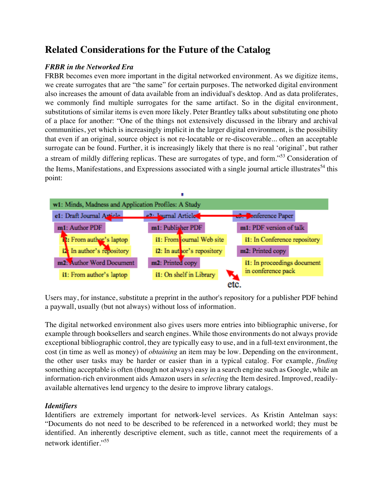# **Related Considerations for the Future of the Catalog**

### *FRBR in the Networked Era*

FRBR becomes even more important in the digital networked environment. As we digitize items, we create surrogates that are "the same" for certain purposes. The networked digital environment also increases the amount of data available from an individual's desktop. And as data proliferates, we commonly find multiple surrogates for the same artifact. So in the digital environment, substitutions of similar items is even more likely. Peter Brantley talks about substituting one photo of a place for another: "One of the things not extensively discussed in the library and archival communities, yet which is increasingly implicit in the larger digital environment, is the possibility that even if an original, source object is not re-locatable or re-discoverable... often an acceptable surrogate can be found. Further, it is increasingly likely that there is no real 'original', but rather a stream of mildly differing replicas. These are surrogates of type, and form."53 Consideration of the Items, Manifestations, and Expressions associated with a single journal article illustrates<sup>54</sup> this point:



Users may, for instance, substitute a preprint in the author's repository for a publisher PDF behind a paywall, usually (but not always) without loss of information.

The digital networked environment also gives users more entries into bibliographic universe, for example through booksellers and search engines. While those environments do not always provide exceptional bibliographic control, they are typically easy to use, and in a full-text environment, the cost (in time as well as money) of *obtaining* an item may be low. Depending on the environment, the other user tasks may be harder or easier than in a typical catalog. For example, *finding* something acceptable is often (though not always) easy in a search engine such as Google, while an information-rich environment aids Amazon users in *selecting* the Item desired. Improved, readilyavailable alternatives lend urgency to the desire to improve library catalogs.

# *Identifiers*

Identifiers are extremely important for network-level services. As Kristin Antelman says: "Documents do not need to be described to be referenced in a networked world; they must be identified. An inherently descriptive element, such as title, cannot meet the requirements of a network identifier."55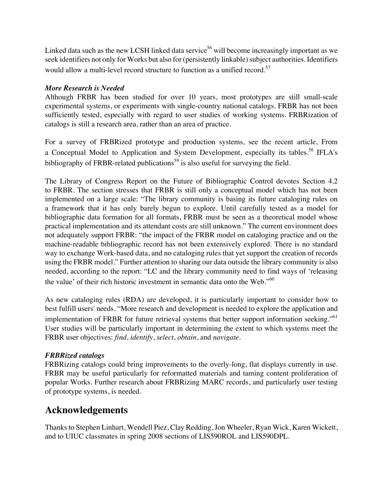Linked data such as the new LCSH linked data service<sup>56</sup> will become increasingly important as we seek identifiers not only for Works but also for (persistently linkable) subject authorities. Identifiers would allow a multi-level record structure to function as a unified record.<sup>57</sup>

#### *More Research is Needed*

Although FRBR has been studied for over 10 years, most prototypes are still small-scale experimental systems, or experiments with single-country national catalogs. FRBR has not been sufficiently tested, especially with regard to user studies of working systems. FRBRization of catalogs is still a research area, rather than an area of practice.

For a survey of FRBRized prototype and production systems, see the recent article, From a Conceptual Model to Application and System Development, especially its tables.<sup>58</sup> IFLA's bibliography of FRBR-related publications<sup>59</sup> is also useful for surveying the field.

The Library of Congress Report on the Future of Bibliographic Control devotes Section 4.2 to FRBR. The section stresses that FRBR is still only a conceptual model which has not been implemented on a large scale: "The library community is basing its future cataloging rules on a framework that it has only barely begun to explore. Until carefully tested as a model for bibliographic data formation for all formats, FRBR must be seen as a theoretical model whose practical implementation and its attendant costs are still unknown." The current environment does not adequately support FRBR: "the impact of the FRBR model on cataloging practice and on the machine-readable bibliographic record has not been extensively explored. There is no standard way to exchange Work-based data, and no cataloging rules that yet support the creation of records using the FRBR model." Further attention to sharing our data outside the library community is also needed, according to the report: "LC and the library community need to find ways of 'releasing the value' of their rich historic investment in semantic data onto the Web."60

As new cataloging rules (RDA) are developed, it is particularly important to consider how to best fulfill users' needs. "More research and development is needed to explore the application and implementation of FRBR for future retrieval systems that better support information seeking."<sup>61</sup> User studies will be particularly important in determining the extent to which systems meet the FRBR user objectives: *find*, *identify*, *select*, *obtain*, and *navigate*.

#### *FRBRized catalogs*

FRBRizing catalogs could bring improvements to the overly-long, flat displays currently in use. FRBR may be useful particularly for reformatted materials and taming content proliferation of popular Works. Further research about FRBRizing MARC records, and particularly user testing of prototype systems, is needed.

# **Acknowledgements**

Thanks to Stephen Linhart, Wendell Piez, Clay Redding, Jon Wheeler, Ryan Wick, Karen Wickett, and to UIUC classmates in spring 2008 sections of LIS590ROL and LIS590DPL.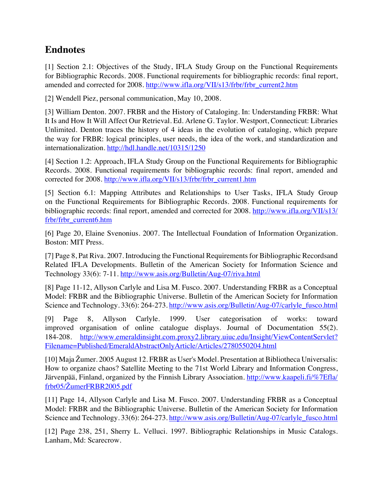# **Endnotes**

[1] Section 2.1: Objectives of the Study, IFLA Study Group on the Functional Requirements for Bibliographic Records. 2008. Functional requirements for bibliographic records: final report, amended and corrected for 2008. [http://www.ifla.org/VII/s13/frbr/frbr\\_current2.htm](http://www.ifla.org/VII/s13/frbr/frbr_current2.htm)

[2] Wendell Piez, personal communication, May 10, 2008.

[3] William Denton. 2007. FRBR and the History of Cataloging. In: Understanding FRBR: What It Is and How It Will Affect Our Retrieval. Ed. Arlene G. Taylor. Westport, Connecticut: Libraries Unlimited. Denton traces the history of 4 ideas in the evolution of cataloging, which prepare the way for FRBR: logical principles, user needs, the idea of the work, and standardization and internationalization. <http://hdl.handle.net/10315/1250>

[4] Section 1.2: Approach, IFLA Study Group on the Functional Requirements for Bibliographic Records. 2008. Functional requirements for bibliographic records: final report, amended and corrected for 2008. [http://www.ifla.org/VII/s13/frbr/frbr\\_current1.htm](http://www.ifla.org/VII/s13/frbr/frbr_current1.htm)

[5] Section 6.1: Mapping Attributes and Relationships to User Tasks, IFLA Study Group on the Functional Requirements for Bibliographic Records. 2008. Functional requirements for bibliographic records: final report, amended and corrected for 2008. [http://www.ifla.org/VII/s13/](http://www.ifla.org/VII/s13/frbr/frbr_current6.htm) [frbr/frbr\\_current6.htm](http://www.ifla.org/VII/s13/frbr/frbr_current6.htm)

[6] Page 20, Elaine Svenonius. 2007. The Intellectual Foundation of Information Organization. Boston: MIT Press.

[7] Page 8, Pat Riva. 2007. Introducing the Functional Requirements for Bibliographic Recordsand Related IFLA Developments. Bulletin of the American Society for Information Science and Technology 33(6): 7-11. <http://www.asis.org/Bulletin/Aug-07/riva.html>

[8] Page 11-12, Allyson Carlyle and Lisa M. Fusco. 2007. Understanding FRBR as a Conceptual Model: FRBR and the Bibliographic Universe. Bulletin of the American Society for Information Science and Technology. 33(6): 264-273. [http://www.asis.org/Bulletin/Aug-07/carlyle\\_fusco.html](http://www.asis.org/Bulletin/Aug-07/carlyle_fusco.html)

[9] Page 8, Allyson Carlyle. 1999. User categorisation of works: toward improved organisation of online catalogue displays. Journal of Documentation 55(2). 184-208. [http://www.emeraldinsight.com.proxy2.library.uiuc.edu/Insight/ViewContentServlet?](http://www.emeraldinsight.com.proxy2.library.uiuc.edu/Insight/ViewContentServlet?Filename=Published/EmeraldAbstractOnlyArticle/Articles/2780550204.html) [Filename=Published/EmeraldAbstractOnlyArticle/Articles/2780550204.html](http://www.emeraldinsight.com.proxy2.library.uiuc.edu/Insight/ViewContentServlet?Filename=Published/EmeraldAbstractOnlyArticle/Articles/2780550204.html)

[10] Maja Žumer. 2005 August 12. FRBR as User's Model. Presentation at Bibliotheca Universalis: How to organize chaos? Satellite Meeting to the 71st World Library and Information Congress, Järvenpää, Finland, organized by the Finnish Library Association. [http://www.kaapeli.fi/%7Efla/](http://www.kaapeli.fi/%7Efla/frbr05/?umerFRBR2005.pdf) frbr05/Ž[umerFRBR2005.pdf](http://www.kaapeli.fi/%7Efla/frbr05/?umerFRBR2005.pdf)

[11] Page 14, Allyson Carlyle and Lisa M. Fusco. 2007. Understanding FRBR as a Conceptual Model: FRBR and the Bibliographic Universe. Bulletin of the American Society for Information Science and Technology. 33(6): 264-273. [http://www.asis.org/Bulletin/Aug-07/carlyle\\_fusco.html](http://www.asis.org/Bulletin/Aug-07/carlyle_fusco.html)

[12] Page 238, 251, Sherry L. Velluci. 1997. Bibliographic Relationships in Music Catalogs. Lanham, Md: Scarecrow.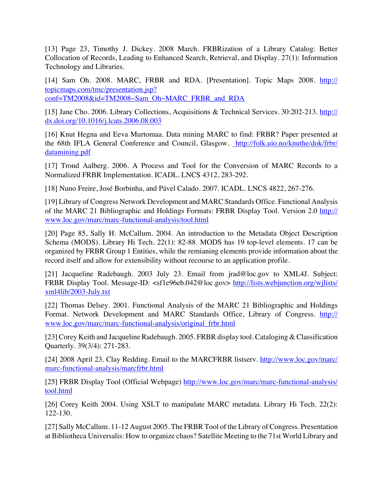[13] Page 23, Timothy J. Dickey. 2008 March. FRBRization of a Library Catalog: Better Collocation of Records, Leading to Enhanced Search, Retrieval, and Display. 27(1): Information Technology and Libraries.

[14] Sam Oh. 2008. MARC, FRBR and RDA. [Presentation]. Topic Maps 2008. [http://](http://topicmaps.com/tmc/presentation.jsp?conf=TM2008&id=TM2008~Sam_Oh~MARC_FRBR_and_RDA) [topicmaps.com/tmc/presentation.jsp?](http://topicmaps.com/tmc/presentation.jsp?conf=TM2008&id=TM2008~Sam_Oh~MARC_FRBR_and_RDA) [conf=TM2008&id=TM2008~Sam\\_Oh~MARC\\_FRBR\\_and\\_RDA](http://topicmaps.com/tmc/presentation.jsp?conf=TM2008&id=TM2008~Sam_Oh~MARC_FRBR_and_RDA)

[15] Jane Cho. 2006. Library Collections, Acquisitions & Technical Services. 30:202-213. [http://](http://dx.doi.org/10.1016/j.lcats.2006.08.003) [dx.doi.org/10.1016/j.lcats.2006.08.003](http://dx.doi.org/10.1016/j.lcats.2006.08.003)

[16] Knut Hegna and Eeva Murtomaa. Data mining MARC to find: FRBR? Paper presented at the 68th IFLA General Conference and Council, Glasgow. [http://folk.uio.no/knuthe/dok/frbr/](http://folk.uio.no/knuthe/dok/frbr/datamining.pdf) [datamining.pdf](http://folk.uio.no/knuthe/dok/frbr/datamining.pdf)

[17] Trond Aalberg. 2006. A Process and Tool for the Conversion of MARC Records to a Normalized FRBR Implementation. ICADL. LNCS 4312, 283-292.

[18] Nuno Freire, José Borbinha, and Pável Calado. 2007. ICADL. LNCS 4822, 267-276.

[19] Library of Congress Network Development and MARC Standards Office. Functional Analysis of the MARC 21 Bibliographic and Holdings Formats: FRBR Display Tool. Version 2.0 [http://](http://www.loc.gov/marc/marc-functional-analysis/tool.html) [www.loc.gov/marc/marc-functional-analysis/tool.html](http://www.loc.gov/marc/marc-functional-analysis/tool.html)

[20] Page 85, Sally H. McCallum. 2004. An introduction to the Metadata Object Description Schema (MODS). Library Hi Tech. 22(1): 82-88. MODS has 19 top-level elements. 17 can be organized by FRBR Group 1 Entities, while the remianing elements provide information about the record itself and allow for extensibility without recourse to an application profile.

[21] Jacqueline Radebaugh. 2003 July 23. Email from jrad@loc.gov to XML4J. Subject: FRBR Display Tool. Message-ID: <sf1e96eb.042@loc.gov> [http://lists.webjunction.org/wjlists/](http://lists.webjunction.org/wjlists/xml4lib/2003-July.txt) [xml4lib/2003-July.txt](http://lists.webjunction.org/wjlists/xml4lib/2003-July.txt)

[22] Thomas Delsey. 2001. Functional Analysis of the MARC 21 Bibliographic and Holdings Format. Network Development and MARC Standards Office, Library of Congress. [http://](http://www.loc.gov/marc/marc-functional-analysis/original_frbr.html) [www.loc.gov/marc/marc-functional-analysis/original\\_frbr.html](http://www.loc.gov/marc/marc-functional-analysis/original_frbr.html)

[23] Corey Keith and Jacqueline Radebaugh. 2005. FRBR display tool. Cataloging & Classification Quarterly. 39(3/4): 271-283.

[24] 2008 April 23. Clay Redding. Email to the MARCFRBR listserv. [http://www.loc.gov/marc/](http://www.loc.gov/marc/marc-functional-analysis/marcfrbr.html) [marc-functional-analysis/marcfrbr.html](http://www.loc.gov/marc/marc-functional-analysis/marcfrbr.html)

[25] FRBR Display Tool (Official Webpage) [http://www.loc.gov/marc/marc-functional-analysis/](http://www.loc.gov/marc/marc-functional-analysis/tool.html) [tool.html](http://www.loc.gov/marc/marc-functional-analysis/tool.html)

[26] Corey Keith 2004. Using XSLT to manipulate MARC metadata. Library Hi Tech. 22(2): 122-130.

[27] Sally McCallum. 11-12 August 2005. The FRBR Tool of the Library of Congress. Presentation at Bibliotheca Universalis: How to organize chaos? Satellite Meeting to the 71st World Library and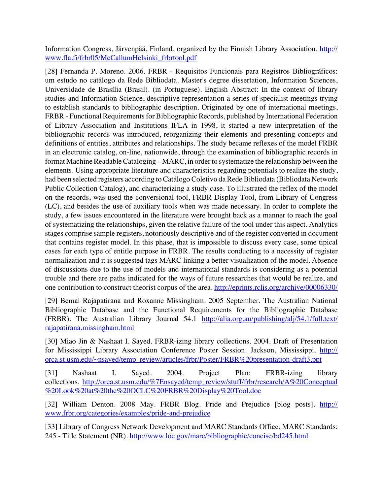Information Congress, Järvenpää, Finland, organized by the Finnish Library Association. [http://](http://www.fla.fi/frbr05/McCallumHelsinki_frbrtool.pdf) [www.fla.fi/frbr05/McCallumHelsinki\\_frbrtool.pdf](http://www.fla.fi/frbr05/McCallumHelsinki_frbrtool.pdf)

[28] Fernanda P. Moreno. 2006. FRBR - Requisitos Funcionais para Registros Bibliográficos: um estudo no catálogo da Rede Bibliodata. Master's degree dissertation, Information Sciences, Universidade de Brasília (Brasil). (in Portuguese). English Abstract: In the context of library studies and Information Science, descriptive representation a series of specialist meetings trying to establish standards to bibliographic description. Originated by one of international meetings, FRBR - Functional Requirements for Bibliographic Records, published by International Federation of Library Association and Institutions IFLA in 1998, it started a new interpretation of the bibliographic records was introduced, reorganizing their elements and presenting concepts and definitions of entities, attributes and relationships. The study became reflexes of the model FRBR in an electronic catalog, on-line, nationwide, through the examination of bibliographic records in format Machine Readable Cataloging – MARC, in order to systematize the relationship between the elements. Using appropriate literature and characteristics regarding potentials to realize the study, had been selected registers according to Catálogo Coletivo da Rede Bibliodata (Bibliodata Network Public Collection Catalog), and characterizing a study case. To illustrated the reflex of the model on the records, was used the conversional tool, FRBR Display Tool, from Library of Congress (LC), and besides the use of auxiliary tools when was made necessary. In order to complete the study, a few issues encountered in the literature were brought back as a manner to reach the goal of systematizing the relationships, given the relative failure of the tool under this aspect. Analytics stages comprise sample registers, notoriously descriptive and of the register converted in document that contains register model. In this phase, that is impossible to discuss every case, some tipical cases for each type of entitle purpose in FRBR. The results conducting to a necessity of register normalization and it is suggested tags MARC linking a better visualization of the model. Absence of discussions due to the use of models and international standards is considering as a potential trouble and there are paths indicated for the ways of future researches that would be realize, and one contribution to construct theorist corpus of the area. <http://eprints.rclis.org/archive/00006330/>

[29] Bemal Rajapatirana and Roxanne Missingham. 2005 September. The Australian National Bibliographic Database and the Functional Requirements for the Bibliographic Database (FRBR). The Australian Library Journal 54.1 [http://alia.org.au/publishing/alj/54.1/full.text/](http://alia.org.au/publishing/alj/54.1/full.text/rajapatirana.missingham.html) [rajapatirana.missingham.html](http://alia.org.au/publishing/alj/54.1/full.text/rajapatirana.missingham.html)

[30] Miao Jin & Nashaat I. Sayed. FRBR-izing library collections. 2004. Draft of Presentation for Mississippi Library Association Conference Poster Session. Jackson, Mississippi. [http://](http://orca.st.usm.edu/~nsayed/temp_review/articles/frbr/Poster/FRBR%20presentation-draft3.ppt) [orca.st.usm.edu/~nsayed/temp\\_review/articles/frbr/Poster/FRBR%20presentation-draft3.ppt](http://orca.st.usm.edu/~nsayed/temp_review/articles/frbr/Poster/FRBR%20presentation-draft3.ppt)

[31] Nashaat I. Sayed. 2004. Project Plan: FRBR-izing library collections. [http://orca.st.usm.edu/%7Ensayed/temp\\_review/stuff/frbr/research/A%20Conceptual](http://orca.st.usm.edu/%7Ensayed/temp_review/stuff/frbr/research/A%20Conceptual%20Look%20at%20the%20OCLC%20FRBR%20Display%20Tool.doc) [%20Look%20at%20the%20OCLC%20FRBR%20Display%20Tool.doc](http://orca.st.usm.edu/%7Ensayed/temp_review/stuff/frbr/research/A%20Conceptual%20Look%20at%20the%20OCLC%20FRBR%20Display%20Tool.doc)

[32] William Denton. 2008 May. FRBR Blog. Pride and Prejudice [blog posts]. [http://](http://www.frbr.org/categories/examples/pride-and-prejudice) [www.frbr.org/categories/examples/pride-and-prejudice](http://www.frbr.org/categories/examples/pride-and-prejudice)

[33] Library of Congress Network Development and MARC Standards Office. MARC Standards: 245 - Title Statement (NR). <http://www.loc.gov/marc/bibliographic/concise/bd245.html>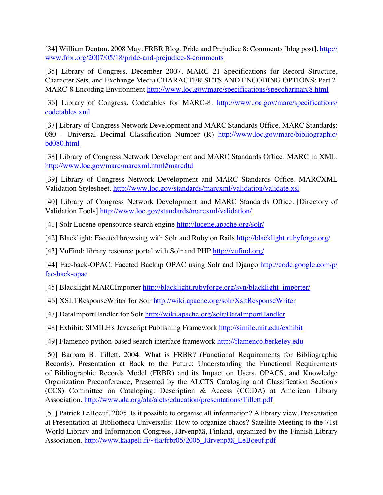[34] William Denton. 2008 May. FRBR Blog. Pride and Prejudice 8: Comments [blog post]. [http://](http://www.frbr.org/2007/05/18/pride-and-prejudice-8-comments) [www.frbr.org/2007/05/18/pride-and-prejudice-8-comments](http://www.frbr.org/2007/05/18/pride-and-prejudice-8-comments)

[35] Library of Congress. December 2007. MARC 21 Specifications for Record Structure, Character Sets, and Exchange Media CHARACTER SETS AND ENCODING OPTIONS: Part 2. MARC-8 Encoding Environment <http://www.loc.gov/marc/specifications/speccharmarc8.html>

[36] Library of Congress. Codetables for MARC-8. [http://www.loc.gov/marc/specifications/](http://www.loc.gov/marc/specifications/codetables.xml) [codetables.xml](http://www.loc.gov/marc/specifications/codetables.xml)

[37] Library of Congress Network Development and MARC Standards Office. MARC Standards: 080 - Universal Decimal Classification Number (R) [http://www.loc.gov/marc/bibliographic/](http://www.loc.gov/marc/bibliographic/bd080.html) [bd080.html](http://www.loc.gov/marc/bibliographic/bd080.html)

[38] Library of Congress Network Development and MARC Standards Office. MARC in XML. <http://www.loc.gov/marc/marcxml.html#marcdtd>

[39] Library of Congress Network Development and MARC Standards Office. MARCXML Validation Stylesheet. <http://www.loc.gov/standards/marcxml/validation/validate.xsl>

[40] Library of Congress Network Development and MARC Standards Office. [Directory of Validation Tools] <http://www.loc.gov/standards/marcxml/validation/>

[41] Solr Lucene opensource search engine <http://lucene.apache.org/solr/>

[42] Blacklight: Faceted browsing with Solr and Ruby on Rails <http://blacklight.rubyforge.org/>

[43] VuFind: library resource portal with Solr and PHP <http://vufind.org/>

[44] Fac-back-OPAC: Faceted Backup OPAC using Solr and Django [http://code.google.com/p/](http://code.google.com/p/fac-back-opac) [fac-back-opac](http://code.google.com/p/fac-back-opac)

[45] Blacklight MARCImporter [http://blacklight.rubyforge.org/svn/blacklight\\_importer/](http://blacklight.rubyforge.org/svn/blacklight_importer/)

[46] XSLTResponseWriter for Solr <http://wiki.apache.org/solr/XsltResponseWriter>

[47] DataImportHandler for Solr <http://wiki.apache.org/solr/DataImportHandler>

[48] Exhibit: SIMILE's Javascript Publishing Framework <http://simile.mit.edu/exhibit>

[49] Flamenco python-based search interface framework <http://flamenco.berkeley.edu>

[50] Barbara B. Tillett. 2004. What is FRBR? (Functional Requirements for Bibliographic Records). Presentation at Back to the Future: Understanding the Functional Requirements of Bibliographic Records Model (FRBR) and its Impact on Users, OPACS, and Knowledge Organization Preconference, Presented by the ALCTS Cataloging and Classification Section's (CCS) Committee on Cataloging: Description & Access (CC:DA) at American Library Association. <http://www.ala.org/ala/alcts/education/presentations/Tillett.pdf>

[51] Patrick LeBoeuf. 2005. Is it possible to organise all information? A library view. Presentation at Presentation at Bibliotheca Universalis: How to organize chaos? Satellite Meeting to the 71st World Library and Information Congress, Järvenpää, Finland, organized by the Finnish Library Association. http://www.kaapeli.fi/~fla/frbr05/2005\_Järvenpää\_LeBoeuf.pdf